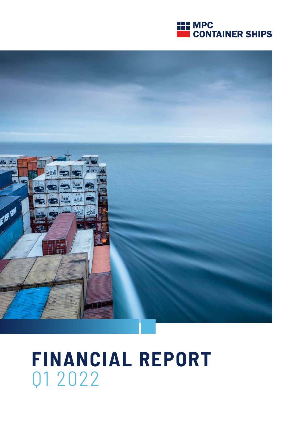



## **FINANCIAL REPORT**  Q1 2022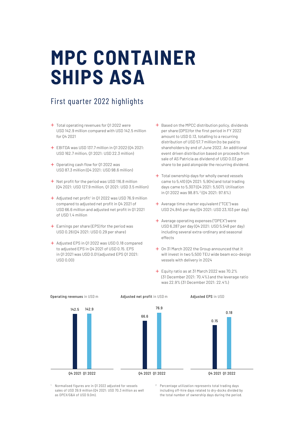## **MPC CONTAINER SHIPS ASA**

### First quarter 2022 highlights

- + Total operating revenues for Q1 2022 were USD 142.9 million compared with USD 142.5 million for Q4 2021
- + EBITDA was USD 137.7 million in Q1 2022 (Q4 2021: USD 162.7 million, Q1 2021: USD 22.3 million)
- + Operating cash flow for Q1 2022 was USD 87.3 million (Q4 2021: USD 98.6 million)
- + Net profit for the period was USD 116.8 million (Q4 2021: USD 127.9 million, Q1 2021: USD 3.5 million)
- $+$  Adjusted net profit<sup>1</sup> in Q1 2022 was USD 76.9 million compared to adjusted net profit in Q4 2021 of USD 66.6 million and adjusted net profit in Q1 2021 of USD 1.4 million
- + Earnings per share (EPS) for the period was USD 0.26 (Q4 2021: USD 0.29 per share)
- + Adjusted EPS in Q1 2022 was USD 0.18 compared to adjusted EPS in Q4 2021 of USD 0.15. EPS in Q1 2021 was USD 0.01 (adjusted EPS Q1 2021: USD 0.00)
- + Based on the MPCC distribution policy, dividends per share (DPS) for the first period in FY 2022 amount to USD 0.13, totalling to a recurring distribution of USD 57.7 million (to be paid to shareholders by end of June 2022. An additional event driven distribution based on proceeds from sale of AS Patricia as dividend of USD 0.03 per share to be paid alongside the recurring dividend.
- + Total ownership days for wholly owned vessels came to 5,410 (Q4 2021: 5,904) and total trading days came to 5,307 (Q4 2021: 5,507). Utilisation in Q1 2022 was 98.8% <sup>2</sup> (Q4 2021: 97.6%)
- + Average time charter equivalent ("TCE") was USD 24,845 per day (Q4 2021: USD 23,103 per day)
- + Average operating expenses ("OPEX") were USD 6,287 per day (Q4 2021: USD 5,548 per day) including several extra-ordinary and seasonal effects
- + On 31 March 2022 the Group announced that it will invest in two 5,500 TEU wide beam eco-design vessels with delivery in 2024
- + Equity ratio as at 31 March 2022 was 70.2% (31 December 2021: 70.4%) and the leverage ratio was 22.9% (31 December 2021: 22.4%)



 Normalised figures are in Q1 2022 adjusted for vessels sales of USD 39.9 million  $(04, 2021; 115D, 70.3$  million as well as OPEX/G&A of USD 9.0m).

<sup>2</sup> Percentage utilization represents total trading days including off-hire days related to dry-docks divided by the total number of ownership days during the period.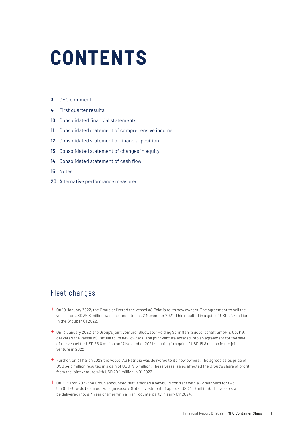# **CONTENTS**

- **3** CEO comment
- **4** First quarter results
- **10** Consolidated financial statements
- **11** Consolidated statement of comprehensive income
- **12** Consolidated statement of financial position
- 13 Consolidated statement of changes in equity
- **14** Consolidated statement of cash flow
- **15** Notes
- **20** Alternative performance measures

#### Fleet changes

- + On 10 January 2022, the Group delivered the vessel AS Palatia to its new owners. The agreement to sell the vessel for USD 35.8 million was entered into on 22 November 2021. This resulted in a gain of USD 21.5 million in the Group in Q1 2022.
- + On 13 January 2022, the Group's joint venture, Bluewater Holding Schifffahrtsgesellschaft GmbH & Co. KG, delivered the vessel AS Petulia to its new owners. The joint venture entered into an agreement for the sale of the vessel for USD 35.8 million on 17 November 2021 resulting in a gain of USD 18.8 million in the joint venture in 2022.
- + Further, on 31 March 2022 the vessel AS Patricia was delivered to its new owners. The agreed sales price of USD 34.3 million resulted in a gain of USD 19.5 million. These vessel sales affected the Group's share of profit from the joint venture with USD 20.1 million in Q1 2022.
- + On 31 March 2022 the Group announced that it signed a newbuild contract with a Korean yard for two 5,500 TEU wide beam eco-design vessels (total investment of approx. USD 150 million). The vessels will be delivered into a 7-year charter with a Tier 1 counterparty in early CY 2024.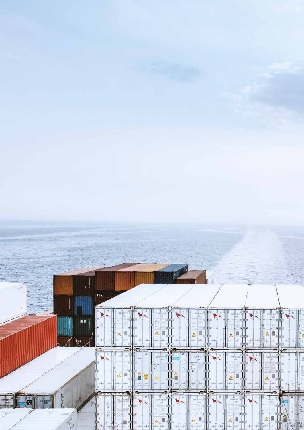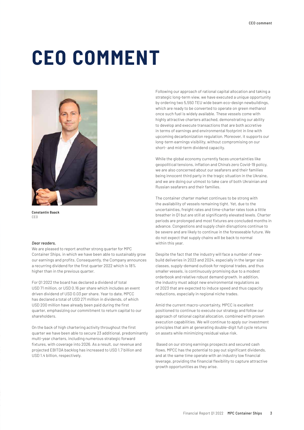# **CEO COMMENT**



**Constantin Baack** CEO

#### *Dear readers,*

We are pleased to report another strong quarter for MPC Container Ships, in which we have been able to sustainably grow our earnings and profits. Consequently, the Company announces a recurring dividend for the first quarter 2022 which is 18% higher than in the previous quarter.

For Q1 2022 the board has declared a dividend of total USD 71 million, or USD 0.16 per share which includes an event driven dividend of USD 0.03 per share. Year to date, MPCC has declared a total of USD 271 million in dividends, of which USD 200 million have already been paid during the first quarter, emphasizing our commitment to return capital to our shareholders.

On the back of high chartering activity throughout the first quarter we have been able to secure 23 additional, predominantly multi-year charters, including numerous strategic forward fixtures, with coverage into 2026. As a result, our revenue and projected EBITDA backlog has increased to USD 1.7 billion and USD 1.4 billion, respectively.

Following our approach of rational capital allocation and taking a strategic long-term view, we have executed a unique opportunity by ordering two 5,550 TEU wide beam eco-design newbuildings, which are ready to be converted to operate on green methanol once such fuel is widely available. These vessels come with highly attractive charters attached, demonstrating our ability to develop and execute transactions that are both accretive in terms of earnings and environmental footprint in line with upcoming decarbonization regulation. Moreover, it supports our long-term earnings visibility, without compromising on our short- and mid-term dividend capacity.

While the global economy currently faces uncertainties like geopolitical tensions, inflation and China's zero Covid-19 policy, we are also concerned about our seafarers and their families being innocent third party in the tragic situation in the Ukraine, and we are doing our utmost to take care of both Ukrainian and Russian seafarers and their families.

The container charter market continues to be strong with the availability of vessels remaining tight. Yet, due to the uncertainties, freight rates and time-charter rates took a little breather in Q1 but are still at significantly elevated levels. Charter periods are prolonged and most fixtures are concluded months in advance. Congestions and supply chain disruptions continue to be severe and are likely to continue in the foreseeable future. We do not expect that supply chains will be back to normal within this year.

Despite the fact that the industry will face a number of newbuild deliveries in 2023 and 2024, especially in the larger size classes, supply-demand outlook for regional trades, and thus smaller vessels, is continuously promising due to a modest orderbook and relative robust demand growth. In addition, the industry must adopt new environmental regulations as of 2023 that are expected to induce speed and thus capacity reductions, especially in regional niche trades.

Amid the current macro-uncertainty, MPCC is excellent positioned to continue to execute our strategy and follow our approach of rational capital allocation, combined with proven execution capabilities. We will continue to apply our investment principles that aim at generating double-digit full cycle returns on assets while minimizing residual value risk.

 Based on our strong earnings prospects and secured cash flows, MPCC has the potential to pay out significant dividends, and at the same time operate with an industry low financial leverage, providing the financial flexibility to capture attractive growth opportunities as they arise.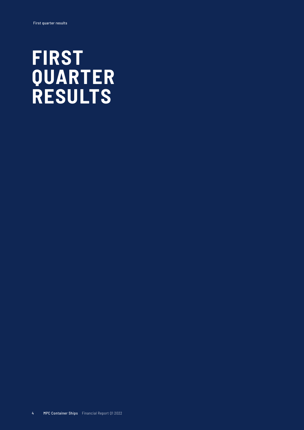## **FIRST QUARTER RESULTS**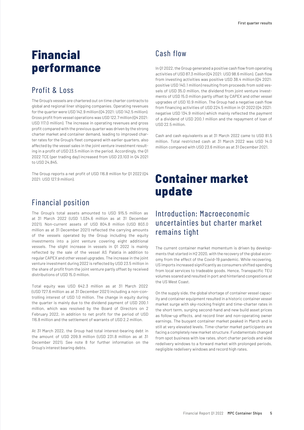### **Financial performance**

#### Profit & Loss

The Group's vessels are chartered out on time charter contracts to global and regional liner shipping companies. Operating revenues for the quarter were USD 142.9 million (Q4 2021: USD 142.5 million). Gross profit from vessel operations was USD 122.7 million (Q4 2021: USD 117.0 million). The increase in operating revenues and gross profit compared with the previous quarter was driven by the strong charter market and container demand, leading to improved charter rates for the Group's fleet compared with earlier quarters, also affected by the vessel sales in the joint venture investment resulting in a profit of USD 23.5 million in the period. Accordingly, the Q1 2022 TCE (per trading day) increased from USD 23,103 in Q4 2021 to USD 24,845.

The Group reports a net profit of USD 116.8 million for Q1 2022 (Q4 2021: USD 127.9 million).

#### Financial position

The Group's total assets amounted to USD 915.5 million as at 31 March 2022 (USD 1,034.6 million as at 31 December 2021). Non-current assets of USD 804.8 million (USD 803.0 million as at 31 December 2021) reflected the carrying amounts of the vessels operated by the Group including the equity investments into a joint venture covering eight additional vessels. The slight increase in vessels in Q1 2022 is mainly reflected by the sale of the vessel AS Palatia in addition to regular CAPEX and other vessel upgrades. The increase in the joint venture investment during 2022 is reflected by USD 23.5 million in the share of profit from the joint venture partly offset by received distributions of USD 15.0 million.

Total equity was USD 642.3 million as at 31 March 2022 (USD 727.6 million as at 31 December 2021) including a non-controlling interest of USD 1.0 million. The change in equity during the quarter is mainly due to the dividend payment of USD 200.1 million, which was resolved by the Board of Directors on 2 February 2022, in addition to net profit for the period of USD 116.8 million and the settlement of warrants of USD 2.2 million.

At 31 March 2022, the Group had total interest-bearing debt in the amount of USD 209.9 million (USD 231.8 million as at 31 December 2021). See note 8 for further information on the Group's interest bearing debts.

### Cash flow

In Q1 2022, the Group generated a positive cash flow from operating activities of USD 87.3 million (Q4 2021: USD 98.6 million). Cash flow from investing activities was positive USD 38.4 million (Q4 2021: positive USD 140.1 million) resulting from proceeds from sold vessels of USD 35.0 million, the dividend from joint venture investments of USD 15.0 million partly offset by CAPEX and other vessel upgrades of USD 10.9 million. The Group had a negative cash flow from financing activities of USD 224.5 million in Q1 2022 (Q4 2021: negative USD 134.9 million) which mainly reflected the payment of a dividend of USD 200.1 million and the repayment of loan of USD 22.5 million.

Cash and cash equivalents as at 31 March 2022 came to USD 81.5 million. Total restricted cash at 31 March 2022 was USD 14.0 million compared with USD 23.6 million as at 31 December 2021.

### **Container market update**

### Introduction: Macroeconomic uncertainties but charter market remains tight

The current container market momentum is driven by developments that started in H2 2020, with the recovery of the global economy from the effect of the Covid-19 pandemic. While recovering, US imports increased significantly as consumers shifted spending from local services to tradeable goods. Hence, Transpacific TEU volumes soared and resulted in port and hinterland congestions at the US West Coast.

On the supply side, the global shortage of container vessel capacity and container equipment resulted in a historic container vessel market surge with sky-rocking freight and time-charter rates in the short term, surging second-hand and new build asset prices as follow-up effects, and record liner and non-operating owner earnings. The buoyant container market peaked in March and is still at very elevated levels. Time-charter market participants are facing a completely new market structure. Fundamentals changed from spot business with low rates, short charter periods and wide redelivery windows to a forward market with prolonged periods, negligible redelivery windows and record high rates.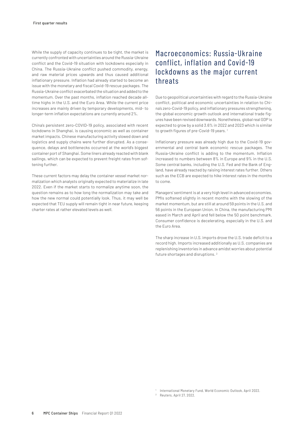While the supply of capacity continues to be tight, the market is currently confronted with uncertainties around the Russia-Ukraine conflict and the Covid-19 situation with lockdowns especially in China. The Russia-Ukraine conflict pushed commodity, energy, and raw material prices upwards and thus caused additional inflationary pressure. Inflation had already started to become an issue with the monetary and fiscal Covid-19 rescue packages. The Russia-Ukraine conflict exacerbated the situation and added to the momentum. Over the past months, inflation reached decade alltime highs in the U.S. and the Euro Area. While the current price increases are mainly driven by temporary developments, mid- to longer-term inflation expectations are currently around 2%.

China's persistent zero-COVID-19 policy, associated with recent lockdowns in Shanghai, is causing economic as well as container market impacts. Chinese manufacturing activity slowed down and logistics and supply chains were further disrupted. As a consequence, delays and bottlenecks occurred at the world's biggest container port of Shanghai. Some liners already reacted with blank sailings, which can be expected to prevent freight rates from softening further.

These current factors may delay the container vessel market normalization which analysts originally expected to materialize in late 2022. Even if the market starts to normalize anytime soon, the question remains as to how long the normalization may take and how the new normal could potentially look. Thus, it may well be expected that TEU supply will remain tight in near future, keeping charter rates at rather elevated levels as well.

#### Macroeconomics: Russia-Ukraine conflict, inflation and Covid-19 lockdowns as the major current threats

Due to geopolitical uncertainties with regard to the Russia-Ukraine conflict, political and economic uncertainties in relation to China's zero-Covid-19 policy, and inflationary pressures strengthening, the global economic growth outlook and international trade figures have been revised downwards. Nonetheless, global real GDP is expected to grow by a solid 3.6% in 2022 and 2023 which is similar to growth figures of pre-Covid-19 years.<sup>1</sup>

Inflationary pressure was already high due to the Covid-19 governmental and central bank economic rescue packages. The Russia-Ukraine conflict is adding to the momentum. Inflation increased to numbers between 8% in Europe and 9% in the U.S. Some central banks, including the U.S. Fed and the Bank of England, have already reacted by raising interest rates further. Others such as the ECB are expected to hike interest rates in the months to come.

Managers' sentiment is at a very high level in advanced economies. PMIs softened slightly in recent months with the slowing of the market momentum, but are still at around 59 points in the U.S. and 56 points in the European Union. In China, the manufacturing PMI eased in March and April and fell below the 50 point benchmark. Consumer confidence is decelerating, especially in the U.S. and the Euro Area.

The sharp increase in U.S. imports drove the U.S. trade deficit to a record high. Imports increased additionally as U.S. companies are replenishing inventories in advance amidst worries about potential future shortages and disruptions. 2

<sup>1</sup> International Monetary Fund, World Economic Outlook, April 2022.

<sup>2</sup> Reuters, April 27, 2022.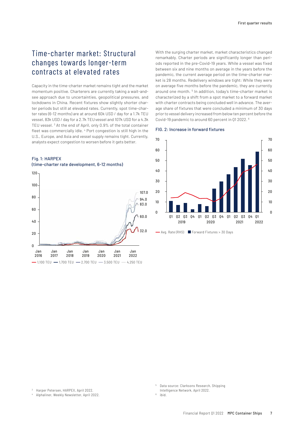#### Time-charter market: Structural changes towards longer-term contracts at elevated rates

Capacity in the time-charter market remains tight and the market momentum positive. Charterers are currently taking a wait-andsee approach due to uncertainties, geopolitical pressures, and lockdowns in China. Recent fixtures show slightly shorter charter periods but still at elevated rates. Currently, spot time-charter rates (6-12 months) are at around 60k USD / day for a 1.7k TEU vessel, 83k USD / day for a 2.7k TEUvessel and 107k USD for a 4.3k TEU vessel.<sup>3</sup> At the end of April, only 0.9% of the total container fleet was commercially idle. <sup>4</sup> Port congestion is still high in the U.S., Europe, and Asia and vessel supply remains tight. Currently, analysts expect congestion to worsen before it gets better.





With the surging charter market, market characteristics changed remarkably. Charter periods are significantly longer than periods reported in the pre-Covid-19 years. While a vessel was fixed between six and nine months on average in the years before the pandemic, the current average period on the time-charter market is 28 months. Redelivery windows are tight: While they were on average five months before the pandemic, they are currently around one month.<sup>5</sup> In addition, today's time-charter market is characterized by a shift from a spot market to a forward market with charter contracts being concluded well in advance. The average share of fixtures that were concluded a minimum of 30 days prior to vessel delivery increased from below ten percent before the Covid-19 pandemic to around 60 percent in Q1 2022. 6







<sup>3</sup> Harper Petersen, HARPEX, April 2022.

<sup>4</sup> Alphaliner, Weekly Newsletter, April 2022.

<sup>5</sup> Data source: Clarksons Research, Shipping

Intelligence Network, April 2022.

<sup>6</sup> ibid.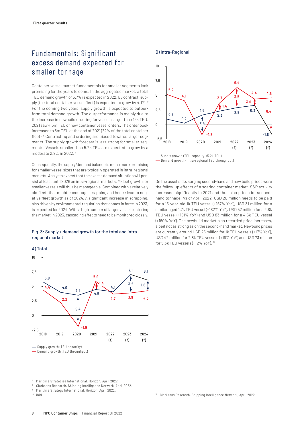#### Fundamentals: Significant excess demand expected for smaller tonnage

Container vessel market fundamentals for smaller segments look promising for the years to come. In the aggregated market, a total TEU demand growth of 3.7% is expected in 2022. By contrast, sup-  $^{\circ}$ ply (the total container vessel fleet) is expected to grow by 4.1%.<sup>7</sup> For the coming two years, supply growth is expected to outperform total demand growth. The outperformance is mainly due to the increase in newbuild ordering for vessels larger than  $12$ k TEU. 2021 saw 4.3m TEU of new container vessel orders. The order book Increased to 6m TEU at the end of 2021(24% of the total container fleet). <sup>8</sup> Contracting and ordering are biased towards larger segments. The supply growth forecast is less strong for smaller segments. Vessels smaller than 5.2k TEU are expected to grow by a moderate 2.9% in 2022. <sup>9</sup>

Consequently, the supply/demand balance is much more promising for smaller vessel sizes that are typically operated in intra-regional markets. Analysts expect that the excess demand situation will persist at least until 2026 on intra-regional markets.<sup>10</sup> Fleet growth for smaller vessels will thus be manageable. Combined with a relatively old fleet, that might encourage scrapping and hence lead to negative fleet growth as of 2024. A significant increase in scrapping, also driven by environmental regulation that comes in force in 2023, is expected for 2024. With a high number of larger vessels entering the market in 2023, cascading effects need to be monitored closely.

#### Fig. 3: Supply / demand growth for the total and intra regional market



- Demand growth (TEU throughput)

<sup>7</sup> Maritime Strategies International, Horizon, April 2022.

<sup>8</sup> Clarksons Research, Shipping Intelligence Network, April 2022.

<sup>9</sup> Maritime Strategy International, Horizon, April 2022.

8 MPC Container Ships Financial Report 01 2022

<sup>10</sup> ibid.

#### B) Intra-Regional



<sup>-</sup>Supply growth (TEU capacity <5.2k TEU) - Demand growth (intra-regional TEU throughput)

On the asset side, surging second-hand and new build prices were the follow-up effects of a soaring container market. S&P activity increased significantly in 2021 and thus also prices for secondhand tonnage. As of April 2022, USD 20 million needs to be paid for a 15-year-old 1k TEU vessel (+167% YoY), USD 31 million for a similar aged 1.7k TEU vessel (+182% YoY), USD 52 million for a 2.8k TEU vessel (+181% YoY) and USD 83 million for a 4.5k TEU vessel (+160% YoY). The newbuild market also recorded price increases, albeit not as strong as on the second-hand market. Newbuild prices are currently around USD 25 million for 1k TEU vessels (+17% YoY), USD 42 million for 2.8k TEU vessels (+18% YoY) and USD 73 million for 5.3k TEU vessels (+12% YoY). 11

<sup>11</sup> Clarksons Research, Shipping Intelligence Network, April 2022.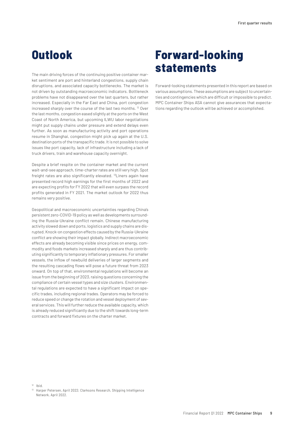### **Outlook**

The main driving forces of the continuing positive container market sentiment are port and hinterland congestions, supply chain disruptions, and associated capacity bottlenecks. The market is not driven by outstanding macroeconomic indicators. Bottleneck problems have not disappeared over the last quarters, but rather increased. Especially in the Far East and China, port congestion increased sharply over the course of the last two months. 12 Over the last months, congestion eased slightly at the ports on the West Coast of North America, but upcoming ILWU labor negotiations might put supply chains under pressure and extend delays even further. As soon as manufacturing activity and port operations resume in Shanghai, congestion might pick up again at the U.S. destination ports of the transpacific trade. It is not possible to solve issues like port capacity, lack of infrastructure including a lack of truck drivers, train and warehouse capacity overnight.

Despite a brief respite on the container market and the current wait-and-see approach, time-charter rates are still very high. Spot freight rates are also significantly elevated. 13Liners again have presented record high earnings for the first months of 2022 and are expecting profits for FY 2022 that will even surpass the record profits generated in FY 2021. The market outlook for 2022 thus remains very positive.

Geopolitical and macroeconomic uncertainties regarding China's persistent zero-COVID-19 policy as well as developments surrounding the Russia-Ukraine conflict remain. Chinese manufacturing activity slowed down and ports, logistics and supply chains are disrupted. Knock-on congestion effects caused by the Russia-Ukraine conflict are showing their impact globally. Indirect macroeconomic effects are already becoming visible since prices on energy, commodity and foods markets increased sharply and are thus contributing significantly to temporary inflationary pressures. For smaller vessels, the inflow of newbuild deliveries of larger segments and the resulting cascading flows will pose a future threat from 2023 onward. On top of that, environmental regulations will become an issue from the beginning of 2023, raising questions concerning the compliance of certain vessel types and size clusters. Environmental regulations are expected to have a significant impact on specific trades, including regional trades. Operators may be forced to reduce speed or change the rotation and vessel deployment of several services. This will further reduce the available capacity, which is already reduced significantly due to the shift towards long-term contracts and forward fixtures on the charter market.

### **Forward-looking statements**

Forward-looking statements presented in this report are based on various assumptions. These assumptions are subject to uncertainties and contingencies which are difficult or impossible to predict. MPC Container Ships ASA cannot give assurances that expectations regarding the outlook will be achieved or accomplished.

 $12$  Ibid.

<sup>13</sup> Harper Petersen, April 2022; Clarksons Research, Shipping Intelligence Network, April 2022.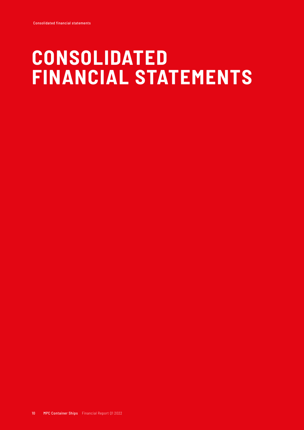# **CONSOLIDATED FINANCIAL STATEMENTS**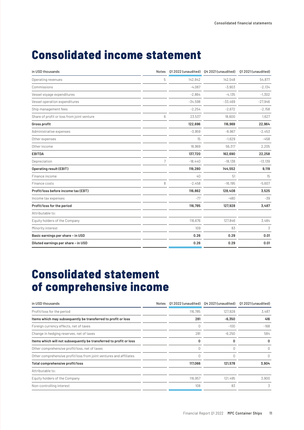### **Consolidated income statement**

| in USD thousands                           |   |           | Notes 012022 (unaudited) 04 2021 (unaudited) | 012021(unaudited) |
|--------------------------------------------|---|-----------|----------------------------------------------|-------------------|
| Operating revenues                         | 5 | 142,942   | 142,548                                      | 54,877            |
| Commissions                                |   | $-4.067$  | $-3,903$                                     | $-2,134$          |
| Vessel voyage expenditures                 |   | $-2,864$  | $-4.135$                                     | $-1,302$          |
| Vessel operation expenditures              |   | $-34,598$ | $-33,469$                                    | $-27,946$         |
| Ship management fees                       |   | $-2,254$  | $-2,672$                                     | $-2,158$          |
| Share of profit or loss from joint venture | 6 | 23,537    | 18,600                                       | 1,627             |
| Gross profit                               |   | 122,696   | 116,969                                      | 22,964            |
| Administrative expenses                    |   | $-3,959$  | $-8,967$                                     | $-2,453$          |
| Other expenses                             |   | 15        | $-1.629$                                     | $-458$            |
| Other income                               |   | 18,969    | 56,317                                       | 2,205             |
| <b>EBITDA</b>                              |   | 137,720   | 162,690                                      | 22,258            |
| Depreciation                               | 7 | $-18,440$ | $-18,138$                                    | $-13,139$         |
| Operating result (EBIT)                    |   | 119,280   | 144,552                                      | 9,119             |
| Finance income                             |   | 40        | 51                                           | 15                |
| Finance costs                              | 8 | $-2,458$  | $-16,195$                                    | $-5,607$          |
| Profit/loss before income tax (EBT)        |   | 116,862   | 128,408                                      | 3,525             |
| Income tax expenses                        |   | $-77$     | $-480$                                       | $-39$             |
| Profit/loss for the period                 |   | 116,785   | 127,928                                      | 3,487             |
| Attributable to:                           |   |           |                                              |                   |
| Equity holders of the Company              |   | 116,676   | 127,846                                      | 3,484             |
| Minority interest                          |   | 109       | 83                                           | 3                 |
| Basic earnings per share - in USD          |   | 0.26      | 0.29                                         | 0.01              |
| Diluted earnings per share - in USD        |   | 0.26      | 0.29                                         | 0.01              |

### **Consolidated statement of comprehensive income**

| in USD thousands                                                   | Notes |         | 01 2022 (unaudited) 04 2021 (unaudited) | 012021(unaudited)                |
|--------------------------------------------------------------------|-------|---------|-----------------------------------------|----------------------------------|
| Profit/loss for the period                                         |       | 116,785 | 127,928                                 | 3,487                            |
| Items which may subsequently be transferred to profit or loss      |       | 281     | $-6,350$                                | 416                              |
| Foreign currency effects, net of taxes                             |       | 0       | $-100$                                  | $-168$                           |
| Change in hedging reserves, net of taxes                           |       | 281     | $-6.250$                                | 584                              |
| Items which will not subsequently be transferred to profit or loss |       | 0       |                                         | 0                                |
| Other comprehensive profit/loss, net of taxes                      |       | 0       |                                         | $\begin{array}{c} \n\end{array}$ |
| Other comprehensive profit/loss from joint ventures and affiliates |       | 0       |                                         | $\Box$                           |
| Total comprehensive profit/loss                                    |       | 117,066 | 121,578                                 | 3,904                            |
| Attributable to:                                                   |       |         |                                         |                                  |
| Equity holders of the Company                                      |       | 116,957 | 121,495                                 | 3,900                            |
| Non-controlling interest                                           |       | 108     | 83                                      | 3                                |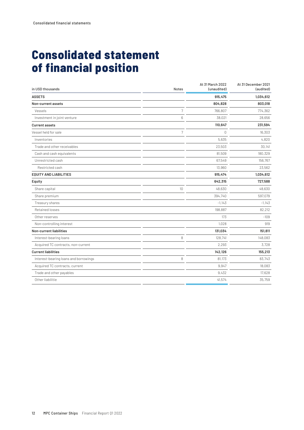### **Consolidated statement of financial position**

| in USD thousands                      | Notes          | At 31 March 2022<br>(unaudited) | At 31 December 2021<br>(audited) |
|---------------------------------------|----------------|---------------------------------|----------------------------------|
| <b>ASSETS</b>                         |                | 915,475                         | 1,034,612                        |
| Non-current assets                    |                | 804,828                         | 803,018                          |
| Vessels                               | $\overline{7}$ | 766,807                         | 774,362                          |
| Investment in joint venture           | 6              | 38,021                          | 28,656                           |
| <b>Current assets</b>                 |                | 110,647                         | 231,594                          |
| Vessel held for sale                  | 7              | $\mathbf 0$                     | 16,303                           |
| Inventories                           |                | 5,635                           | 4,820                            |
| Trade and other receivables           |                | 23,503                          | 30,141                           |
| Cash and cash equivalents             |                | 81,509                          | 180,329                          |
| Unrestricted cash                     |                | 67,549                          | 156,767                          |
| Restricted cash                       |                | 13,960                          | 23,562                           |
| <b>EOUITY AND LIABILITIES</b>         |                | 915,474                         | 1,034,612                        |
| Equity                                |                | 642,315                         | 727,588                          |
| Share capital                         | 10             | 48,630                          | 48,630                           |
| Share premium                         |                | 394,740                         | 597,079                          |
| Treasury shares                       |                | $-1,143$                        | $-1,143$                         |
| Retained losses                       |                | 198,887                         | 82,212                           |
| Other reserves                        |                | 173                             | $-109$                           |
| Non-controlling interest              |                | 1,028                           | 919                              |
| Non-current liabilities               |                | 131,034                         | 151,811                          |
| Interest-bearing loans                | $\, 8$         | 128,741                         | 148,083                          |
| Acquired TC contracts, non-current    |                | 2,293                           | 3,728                            |
| <b>Current liabilities</b>            |                | 142,126                         | 155,213                          |
| Interest-bearing loans and borrowings | 8              | 81,173                          | 83,743                           |
| Acquired TC contracts, current        |                | 9,947                           | 18,083                           |
| Trade and other payables              |                | 9,432                           | 17,628                           |
| Other liabilitie                      |                | 41,574                          | 35,759                           |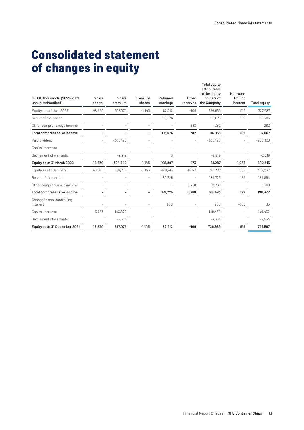### **Consolidated statement of changes in equity**

| In USD thousands (2022/2021:<br>unaudited/audited) | Share<br>capital | Share<br>premium | Treasury<br>shares | Retained<br>earnings | Other<br>reserves | <b>Total equity</b><br>attributable<br>to the equity<br>holders of<br>the Company | Non-con-<br>trolling<br>interest | <b>Total equity</b> |
|----------------------------------------------------|------------------|------------------|--------------------|----------------------|-------------------|-----------------------------------------------------------------------------------|----------------------------------|---------------------|
| Equity as at 1 Jan. 2022                           | 48,630           | 597,079          | $-1,143$           | 82,212               | $-109$            | 726,669                                                                           | 919                              | 727,587             |
| Result of the period                               |                  |                  |                    | 116,676              |                   | 116,676                                                                           | 109                              | 116,785             |
| Other comprehensive income                         |                  |                  |                    |                      | 282               | 282                                                                               |                                  | 282                 |
| Total comprehensive income                         |                  |                  |                    | 116,676              | 282               | 116,958                                                                           | 109                              | 117,067             |
| Paid dividend                                      |                  | $-200,120$       |                    |                      |                   | $-200,120$                                                                        |                                  | $-200,120$          |
| Capital increase                                   |                  |                  |                    |                      |                   |                                                                                   |                                  |                     |
| Settlement of warrants                             |                  | $-2,219$         |                    | $\bigcap$            |                   | $-2,219$                                                                          |                                  | $-2,219$            |
| Equity as at 31 March 2022                         | 48,630           | 394,740          | $-1,143$           | 198,887              | 173               | 61,287                                                                            | 1,028                            | 642,315             |
| Equity as at 1 Jan. 2021                           | 43,047           | 456,764          | $-1,143$           | $-108,413$           | $-8,877$          | 381,377                                                                           | 1,655                            | 383,032             |
| Result of the period                               |                  |                  |                    | 189,725              |                   | 189,725                                                                           | 129                              | 189,854             |
| Other comprehensive income                         |                  |                  |                    |                      | 8,768             | 8,768                                                                             |                                  | 8,768               |
| Total comprehensive income                         |                  |                  |                    | 189,725              | 8,768             | 198,493                                                                           | 129                              | 198,622             |
| Change in non-controlling<br>interest              |                  |                  |                    | 900                  |                   | 900                                                                               | $-865$                           | 35                  |
| Capital increase                                   | 5,583            | 143,870          |                    |                      |                   | 149,452                                                                           |                                  | 149,452             |
| Settlement of warrants                             |                  | $-3,554$         |                    |                      |                   | $-3,554$                                                                          |                                  | $-3,554$            |
| Equity as at 31 December 2021                      | 48,630           | 597,079          | $-1,143$           | 82,212               | $-109$            | 726,669                                                                           | 919                              | 727,587             |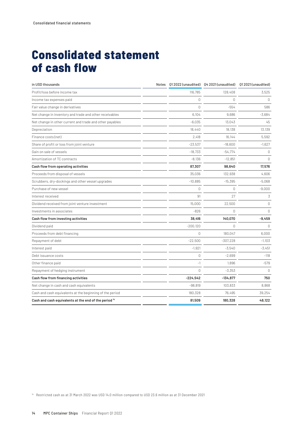### **Consolidated statement of cash flow**

| Profit/loss before income tax<br>116,785<br>$\overline{0}$<br>Income tax expenses paid<br>$\overline{0}$<br>Fair value change in derivatives<br>Net change in inventory and trade and other receivables<br>6,104<br>Net change in other current and trade and other payables<br>$-6.035$<br>Depreciation<br>18,440<br>Finance costs (net)<br>2,418<br>Share of profit or loss from joint venture<br>$-23,537$<br>Gain on sale of vessels<br>$-18,733$<br>Amortization of TC contracts<br>$-8,136$<br>87,307<br>Cash flow from operating activities<br>Proceeds from disposal of vessels<br>35,036<br>Scrubbers, dry-dockings and other vessel upgrades<br>$-10,885$<br>Purchase of new vessel<br>$\mathbb O$<br>91<br>Interest received<br>15,000<br>Dividend received from joint venture investment<br>Investments in associates<br>$-826$<br>Cash flow from investing activities<br>38,416<br>Dividend paid<br>$-200,120$<br>$\overline{0}$<br>Proceeds from debt financing<br>$-22,500$<br>Repayment of debt<br>$-1.921$<br>Interest paid<br>Debt issuance costs<br>$\mathbb O$<br>$-1$<br>Other finance paid<br>$\overline{0}$<br>Repayment of hedging instrument<br>$-224,542$<br>Cash flow from financing activities<br>Net change in cash and cash equivalents<br>$-98,819$<br>Cash and cash equivalents at the beginning of the period<br>180,328<br>81,509<br>Cash and cash equivalents at the end of the period 14 | Notes 012022 (unaudited) 04 2021 (unaudited)<br>in USD thousands | Q12021(unaudited) |
|------------------------------------------------------------------------------------------------------------------------------------------------------------------------------------------------------------------------------------------------------------------------------------------------------------------------------------------------------------------------------------------------------------------------------------------------------------------------------------------------------------------------------------------------------------------------------------------------------------------------------------------------------------------------------------------------------------------------------------------------------------------------------------------------------------------------------------------------------------------------------------------------------------------------------------------------------------------------------------------------------------------------------------------------------------------------------------------------------------------------------------------------------------------------------------------------------------------------------------------------------------------------------------------------------------------------------------------------------------------------------------------------------------------------------|------------------------------------------------------------------|-------------------|
|                                                                                                                                                                                                                                                                                                                                                                                                                                                                                                                                                                                                                                                                                                                                                                                                                                                                                                                                                                                                                                                                                                                                                                                                                                                                                                                                                                                                                              | 128,408                                                          | 3,525             |
|                                                                                                                                                                                                                                                                                                                                                                                                                                                                                                                                                                                                                                                                                                                                                                                                                                                                                                                                                                                                                                                                                                                                                                                                                                                                                                                                                                                                                              | $\Omega$                                                         | $\cup$            |
|                                                                                                                                                                                                                                                                                                                                                                                                                                                                                                                                                                                                                                                                                                                                                                                                                                                                                                                                                                                                                                                                                                                                                                                                                                                                                                                                                                                                                              | $-554$                                                           | 586               |
|                                                                                                                                                                                                                                                                                                                                                                                                                                                                                                                                                                                                                                                                                                                                                                                                                                                                                                                                                                                                                                                                                                                                                                                                                                                                                                                                                                                                                              | 9,686                                                            | $-3,684$          |
|                                                                                                                                                                                                                                                                                                                                                                                                                                                                                                                                                                                                                                                                                                                                                                                                                                                                                                                                                                                                                                                                                                                                                                                                                                                                                                                                                                                                                              | 13,043                                                           | 45                |
|                                                                                                                                                                                                                                                                                                                                                                                                                                                                                                                                                                                                                                                                                                                                                                                                                                                                                                                                                                                                                                                                                                                                                                                                                                                                                                                                                                                                                              | 18,138                                                           | 13,139            |
|                                                                                                                                                                                                                                                                                                                                                                                                                                                                                                                                                                                                                                                                                                                                                                                                                                                                                                                                                                                                                                                                                                                                                                                                                                                                                                                                                                                                                              | 16,144                                                           | 5,592             |
|                                                                                                                                                                                                                                                                                                                                                                                                                                                                                                                                                                                                                                                                                                                                                                                                                                                                                                                                                                                                                                                                                                                                                                                                                                                                                                                                                                                                                              | $-18,600$                                                        | $-1,627$          |
|                                                                                                                                                                                                                                                                                                                                                                                                                                                                                                                                                                                                                                                                                                                                                                                                                                                                                                                                                                                                                                                                                                                                                                                                                                                                                                                                                                                                                              | $-54,774$                                                        | $\bigcap$         |
|                                                                                                                                                                                                                                                                                                                                                                                                                                                                                                                                                                                                                                                                                                                                                                                                                                                                                                                                                                                                                                                                                                                                                                                                                                                                                                                                                                                                                              | $-12,851$                                                        | $\circ$           |
|                                                                                                                                                                                                                                                                                                                                                                                                                                                                                                                                                                                                                                                                                                                                                                                                                                                                                                                                                                                                                                                                                                                                                                                                                                                                                                                                                                                                                              | 98,640                                                           | 17.576            |
|                                                                                                                                                                                                                                                                                                                                                                                                                                                                                                                                                                                                                                                                                                                                                                                                                                                                                                                                                                                                                                                                                                                                                                                                                                                                                                                                                                                                                              | 132,938                                                          | 4,606             |
|                                                                                                                                                                                                                                                                                                                                                                                                                                                                                                                                                                                                                                                                                                                                                                                                                                                                                                                                                                                                                                                                                                                                                                                                                                                                                                                                                                                                                              | $-15,395$                                                        | $-5,068$          |
|                                                                                                                                                                                                                                                                                                                                                                                                                                                                                                                                                                                                                                                                                                                                                                                                                                                                                                                                                                                                                                                                                                                                                                                                                                                                                                                                                                                                                              | $\overline{0}$                                                   | $-9,000$          |
|                                                                                                                                                                                                                                                                                                                                                                                                                                                                                                                                                                                                                                                                                                                                                                                                                                                                                                                                                                                                                                                                                                                                                                                                                                                                                                                                                                                                                              | 27                                                               | 3                 |
|                                                                                                                                                                                                                                                                                                                                                                                                                                                                                                                                                                                                                                                                                                                                                                                                                                                                                                                                                                                                                                                                                                                                                                                                                                                                                                                                                                                                                              | 22,500                                                           | 0                 |
|                                                                                                                                                                                                                                                                                                                                                                                                                                                                                                                                                                                                                                                                                                                                                                                                                                                                                                                                                                                                                                                                                                                                                                                                                                                                                                                                                                                                                              | $\Omega$                                                         | $\cap$            |
|                                                                                                                                                                                                                                                                                                                                                                                                                                                                                                                                                                                                                                                                                                                                                                                                                                                                                                                                                                                                                                                                                                                                                                                                                                                                                                                                                                                                                              | 140,070                                                          | $-9,459$          |
|                                                                                                                                                                                                                                                                                                                                                                                                                                                                                                                                                                                                                                                                                                                                                                                                                                                                                                                                                                                                                                                                                                                                                                                                                                                                                                                                                                                                                              | 0                                                                | $\cup$            |
|                                                                                                                                                                                                                                                                                                                                                                                                                                                                                                                                                                                                                                                                                                                                                                                                                                                                                                                                                                                                                                                                                                                                                                                                                                                                                                                                                                                                                              | 180,047                                                          | 6,000             |
|                                                                                                                                                                                                                                                                                                                                                                                                                                                                                                                                                                                                                                                                                                                                                                                                                                                                                                                                                                                                                                                                                                                                                                                                                                                                                                                                                                                                                              | $-307,228$                                                       | $-1,103$          |
|                                                                                                                                                                                                                                                                                                                                                                                                                                                                                                                                                                                                                                                                                                                                                                                                                                                                                                                                                                                                                                                                                                                                                                                                                                                                                                                                                                                                                              | $-3,540$                                                         | $-3,451$          |
|                                                                                                                                                                                                                                                                                                                                                                                                                                                                                                                                                                                                                                                                                                                                                                                                                                                                                                                                                                                                                                                                                                                                                                                                                                                                                                                                                                                                                              | $-2,699$                                                         | $-118$            |
|                                                                                                                                                                                                                                                                                                                                                                                                                                                                                                                                                                                                                                                                                                                                                                                                                                                                                                                                                                                                                                                                                                                                                                                                                                                                                                                                                                                                                              | 1,896                                                            | $-579$            |
|                                                                                                                                                                                                                                                                                                                                                                                                                                                                                                                                                                                                                                                                                                                                                                                                                                                                                                                                                                                                                                                                                                                                                                                                                                                                                                                                                                                                                              | $-3,353$                                                         | $\Omega$          |
|                                                                                                                                                                                                                                                                                                                                                                                                                                                                                                                                                                                                                                                                                                                                                                                                                                                                                                                                                                                                                                                                                                                                                                                                                                                                                                                                                                                                                              | $-134,877$                                                       | 750               |
|                                                                                                                                                                                                                                                                                                                                                                                                                                                                                                                                                                                                                                                                                                                                                                                                                                                                                                                                                                                                                                                                                                                                                                                                                                                                                                                                                                                                                              | 103,833                                                          | 8,868             |
|                                                                                                                                                                                                                                                                                                                                                                                                                                                                                                                                                                                                                                                                                                                                                                                                                                                                                                                                                                                                                                                                                                                                                                                                                                                                                                                                                                                                                              | 76,495                                                           | 39,254            |
|                                                                                                                                                                                                                                                                                                                                                                                                                                                                                                                                                                                                                                                                                                                                                                                                                                                                                                                                                                                                                                                                                                                                                                                                                                                                                                                                                                                                                              | 180,328                                                          | 48,122            |

<sup>14</sup> Restricted cash as at 31 March 2022 was USD 14.0 million compared to USD 23.6 million as at 31 December 2021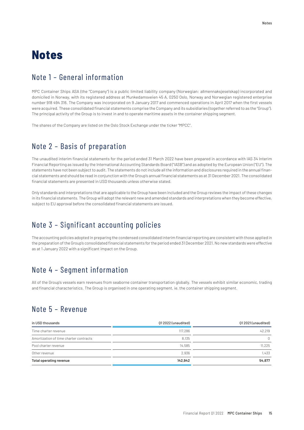### **Notes**

#### Note 1 – General information

MPC Container Ships ASA (the "Company") is a public limited liability company (Norwegian: allmennaksjeselskap) incorporated and domiciled in Norway, with its registered address at Munkedamsveien 45 A, 0250 Oslo, Norway and Norwegian registered enterprise number 918 494 316. The Company was incorporated on 9 January 2017 and commenced operations in April 2017 when the first vessels were acquired. These consolidated financial statements comprise the Company and its subsidiaries (together referred to as the "Group"). The principal activity of the Group is to invest in and to operate maritime assets in the container shipping segment.

The shares of the Company are listed on the Oslo Stock Exchange under the ticker "MPCC".

#### Note 2 – Basis of preparation

The unaudited interim financial statements for the period ended 31 March 2022 have been prepared in accordance with IAS 34 Interim Financial Reporting as issued by the International Accounting Standards Board ("IASB") and as adopted by the European Union ("EU"). The statements have not been subject to audit. The statements do not include all the information and disclosures required in the annual financial statements and should be read in conjunction with the Group's annual financial statements as at 31 December 2021. The consolidated financial statements are presented in USD thousands unless otherwise stated.

Only standards and interpretations that are applicable to the Group have been included and the Group reviews the impact of these changes in its financial statements. The Group will adopt the relevant new and amended standards and interpretations when they become effective, subject to EU approval before the consolidated financial statements are issued.

#### Note 3 – Significant accounting policies

The accounting policies adopted in preparing the condensed consolidated interim financial reporting are consistent with those applied in the preparation of the Group's consolidated financial statements for the period ended 31 December 2021. No new standards were effective as at 1 January 2022 with a significant impact on the Group.

#### Note 4 – Segment information

All of the Group's vessels earn revenues from seaborne container transportation globally. The vessels exhibit similar economic, trading and financial characteristics. The Group is organised in one operating segment, ie. the container shipping segment.

#### Note 5 – Revenue

| in USD thousands                       | 012022 (unaudited) | 01 2021 (unaudited) |
|----------------------------------------|--------------------|---------------------|
| Time charter revenue                   | 117,286            | 42,219              |
| Amortization of time charter contracts | 8,135              | n.                  |
| Pool charter revenue                   | 14,585             | 11,225              |
| Other revenue                          | 2,936              | 1,433               |
| Total operating revenue                | 142.942            | 54,877              |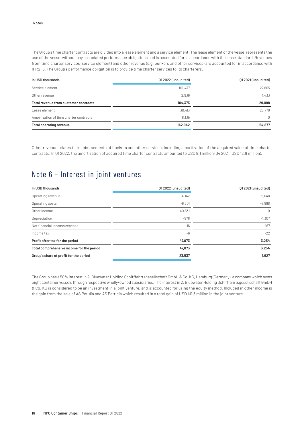The Group's time charter contracts are divided into a lease element and a service element. The lease element of the vessel represents the use of the vessel without any associated performance obligations and is accounted for in accordance with the lease standard. Revenues from time charter services (service element) and other revenue (e.g. bunkers and other services) are accounted for in accordance with IFRS 15. The Group's performance obligation is to provide time charter services to its charterers.

| in USD thousands                       | 012022 (unaudited) | 01 2021 (unaudited) |
|----------------------------------------|--------------------|---------------------|
| Service element                        | 101,437            | 27,665              |
| Other revenue                          | 2,936              | 1,433               |
| Total revenue from customer contracts  | 104,373            | 29,098              |
| Lease element                          | 30,413             | 25,779              |
| Amortization of time charter contracts | 8,135              | $\Omega$            |
| <b>Total operating revenue</b>         | 142.942            | 54,877              |

Other revenue relates to reimbursements of bunkers and other services, including amortization of the acquired value of time charter contracts. In Q1 2022, the amortization of acquired time charter contracts amounted to USD 8.1 million (Q4 2021: USD 12.9 million).

#### Note 6 – Interest in joint ventures

| In USD thousands                          | 01 2022 (unaudited) | 01 2021 (unaudited) |
|-------------------------------------------|---------------------|---------------------|
| Operating revenue                         | 14,142              | 9,648               |
| Operating costs                           | $-6,301$            | $-4,898$            |
| Other income                              | 40,331              | $\overline{0}$      |
| Depreciation                              | $-978$              | $-1,307$            |
| Net financial income/expense              | $-116$              | $-167$              |
| Income tax                                | $-6$                | $-22$               |
| Profit after tax for the period           | 47,073              | 3,254               |
| Total comprehensive income for the period | 47.073              | 3.254               |
| Group's share of profit for the period    | 23,537              | 1,627               |

The Group has a 50% interest in 2. Bluewater Holding Schifffahrtsgesellschaft GmbH & Co. KG, Hamburg (Germany), a company which owns eight container vessels through respective wholly-owned subsidiaries. The interest in 2. Bluewater Holding Schifffahrtsgesellschaft GmbH & Co. KG is considered to be an investment in a joint venture, and is accounted for using the equity method. Included in other income is the gain from the sale of AS Petulia and AS Patricia which resulted in a total gain of USD 40.3 million in the joint venture.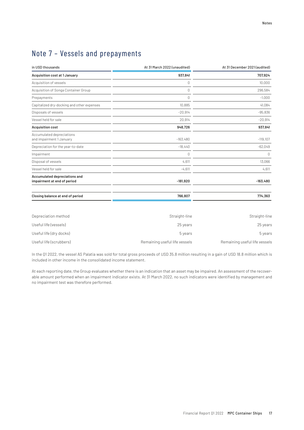### Note 7 – Vessels and prepayments

| in USD thousands                                                    | At 31 March 2022 (unaudited) | At 31 December 2021 (audited) |
|---------------------------------------------------------------------|------------------------------|-------------------------------|
| <b>Acquisition cost at 1 January</b>                                | 937,841                      | 707,924                       |
| Acquisition of vessels                                              | 0                            | 10,000                        |
| Acquisition of Songa Container Group                                | 0                            | 296,584                       |
| Prepayments                                                         | 0                            | $-1,000$                      |
| Capitalized dry-docking and other expenses                          | 10,885                       | 41,084                        |
| Disposals of vessels                                                | $-20,914$                    | $-95,836$                     |
| Vessel held for sale                                                | 20,914                       | $-20,914$                     |
| <b>Acquisition cost</b>                                             | 948,726                      | 937,841                       |
| Accumulated depreciations<br>and impairment 1 January               | $-163,480$                   | $-119,107$                    |
| Depreciation for the year-to-date                                   | $-18,440$                    | $-62,049$                     |
| Impairment                                                          | 0                            | $\Omega$                      |
| Disposal of vessels                                                 | 4,611                        | 13,066                        |
| Vessel held for sale                                                | $-4,611$                     | 4,611                         |
| <b>Accumulated depreciations and</b><br>impairment at end of period | $-181,920$                   | $-163,480$                    |
| Closing balance at end of period                                    | 766,807                      | 774,363                       |

| Depreciation method     | Straight-line                 | Straight-line                 |
|-------------------------|-------------------------------|-------------------------------|
| Useful life (vessels)   | 25 vears                      | 25 years                      |
| Useful life (dry docks) | 5 vears                       | 5 years                       |
| Useful life (scrubbers) | Remaining useful life vessels | Remaining useful life vessels |

In the Q1 2022, the vessel AS Palatia was sold for total gross proceeds of USD 35.8 million resulting in a gain of USD 18.8 million which is included in other income in the consolidated income statement.

At each reporting date, the Group evaluates whether there is an indication that an asset may be impaired. An assessment of the recoverable amount performed when an impairment indicator exists. At 31 March 2022, no such indicators were identified by management and no impairment test was therefore performed.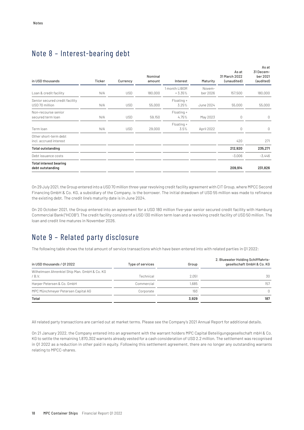| in USD thousands                                  | Ticker | Currency   | Nominal<br>amount | Interest                  | Maturity           | As at<br>31 March 2022<br>(unaudited) | As at<br>31 Decem-<br>ber 2021<br>(audited) |
|---------------------------------------------------|--------|------------|-------------------|---------------------------|--------------------|---------------------------------------|---------------------------------------------|
| Loan & credit facility                            | N/A    | <b>USD</b> | 180,000           | 1 month LIBOR<br>$+3.35%$ | Novem-<br>ber 2026 | 157,500                               | 180,000                                     |
| Senior secured credit facility<br>USD 70 million  | N/A    | <b>USD</b> | 55,000            | Floating +<br>3.25%       | June 2024          | 55,000                                | 55,000                                      |
| Non-recourse senior<br>secured term loan          | N/A    | <b>USD</b> | 59,150            | Floating +<br>4.75%       | May 2023           | 0                                     | $\mathbf 0$                                 |
| Term Ioan                                         | N/A    | <b>USD</b> | 29,000            | Floating +<br>3.5%        | April 2022         | 0                                     | $\mathbf 0$                                 |
| Other short-term debt<br>incl. accrued interest   |        |            |                   |                           |                    | 420                                   | 271                                         |
| <b>Total outstanding</b>                          |        |            |                   |                           |                    | 212,920                               | 235,271                                     |
| Debt issuance costs                               |        |            |                   |                           |                    | $-3,006$                              | $-3,446$                                    |
| <b>Total interest bearing</b><br>debt outstanding |        |            |                   |                           |                    | 209,914                               | 231,826                                     |

### Note 8 – Interest-bearing debt

On 29 July 2021, the Group entered into a USD 70 million three-year revolving credit facility agreement with CIT Group, where MPCC Second Financing GmbH & Co. KG, a subsidiary of the Company, is the borrower. The initial drawdown of USD 55 million was made to refinance the existing debt. The credit line's maturity date is in June 2024.

On 20 October 2021, the Group entered into an agreement for a USD 180 million five-year senior secured credit facility with Hamburg Commercial Bank ("HCOB"). The credit facility consists of a USD 130 million term loan and a revolving credit facility of USD 50 million. The loan and credit line matures in November 2026.

### Note 9 – Related party disclosure

The following table shows the total amount of service transactions which have been entered into with related parties in Q1 2022:

| in USD thousands / 01 2022                             | Type of services | Group | 2. Bluewater Holding Schifffahrts-<br>gesellschaft GmbH & Co. KG |
|--------------------------------------------------------|------------------|-------|------------------------------------------------------------------|
| Wilhelmsen Ahrenkiel Ship Man. GmbH & Co. KG<br>/ B.V. | Technical        | 2,051 | 30                                                               |
| Harper Petersen & Co. GmbH                             | Commercial       | 1,685 | 157                                                              |
| MPC Münchmeyer Petersen Capital AG                     | Corporate        | 193   | n.                                                               |
| Total                                                  |                  | 3,929 | 187                                                              |

All related party transactions are carried out at market terms. Please see the Company's 2021 Annual Report for additional details.

On 21 January 2022, the Company entered into an agreement with the warrant holders MPC Capital Beteiligungsgesellschaft mbH & Co. KG to settle the remaining 1,870,302 warrants already vested for a cash consideration of USD 2.2 million. The settlement was recognised in Q1 2022 as a reduction in other paid in equity. Following this settlement agreement, there are no longer any outstanding warrants relating to MPCC-shares.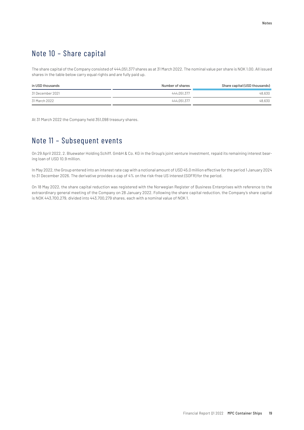### Note 10 – Share capital

The share capital of the Company consisted of 444,051,377 shares as at 31 March 2022. The nominal value per share is NOK 1.00. All issued shares in the table below carry equal rights and are fully paid up.

| in USD thousands | Number of shares | Share capital (USD thousands) |
|------------------|------------------|-------------------------------|
| 31 December 2021 | 444,051,377      | 48,630                        |
| 31 March 2022    | 444,051,377      | 48,630                        |

At 31 March 2022 the Company held 351,098 treasury shares.

#### Note 11 – Subsequent events

On 29 April 2022, 2. Bluewater Holding Schiff. GmbH & Co. KG in the Group's joint venture investment, repaid its remaining interest bearing loan of USD 10.9 million.

In May 2022, the Group entered into an interest rate cap with a notional amount of USD 45.0 million effective for the period 1 January 2024 to 31 December 2026. The derivative provides a cap of 4% on the risk-free US interest (SOFR) for the period.

On 18 May 2022, the share capital reduction was registered with the Norwegian Register of Business Enterprises with reference to the extraordinary general meeting of the Company on 28 January 2022. Following the share capital reduction, the Company's share capital is NOK 443,700,279, divided into 443,700,279 shares, each with a nominal value of NOK 1.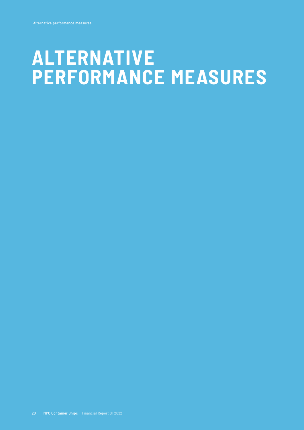# **ALTERNATIVE PERFORMANCE MEASURES**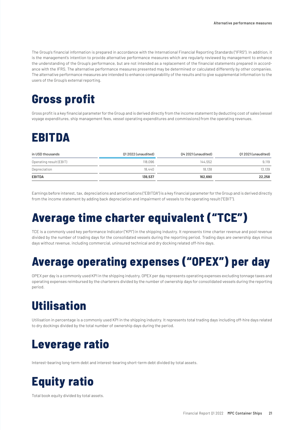The Group's financial information is prepared in accordance with the International Financial Reporting Standards ("IFRS"). In addition, it is the management's intention to provide alternative performance measures which are regularly reviewed by management to enhance the understanding of the Group's performance, but are not intended as a replacement of the financial statements prepared in accordance with the IFRS. The alternative performance measures presented may be determined or calculated differently by other companies. The alternative performance measures are intended to enhance comparability of the results and to give supplemental information to the users of the Group's external reporting.

## **Gross profit**

Gross profit is a key financial parameter for the Group and is derived directly from the income statement by deducting cost of sales (vessel voyage expenditures, ship management fees, vessel operating expenditures and commissions) from the operating revenues.

### **EBITDA**

| in USD thousands        | 01 2022 (unaudited) | 04 2021 (unaudited) | 01 2021 (unaudited) |
|-------------------------|---------------------|---------------------|---------------------|
| Operating result (EBIT) | 118,096             | 144,552             | 9,119               |
| Depreciation            | 18,440              | 18,138              | 13,139              |
| <b>EBITDA</b>           | 136,537             | 162,690             | 22,258              |

Earnings before interest, tax, depreciations and amortisations ("EBITDA") is a key financial parameter for the Group and is derived directly from the income statement by adding back depreciation and impairment of vessels to the operating result ("EBIT").

### **Average time charter equivalent ("TCE")**

TCE is a commonly used key performance Indicator ("KPI") in the shipping industry. It represents time charter revenue and pool revenue divided by the number of trading days for the consolidated vessels during the reporting period. Trading days are ownership days minus days without revenue, including commercial, uninsured technical and dry docking related off-hire days.

### **Average operating expenses ("OPEX") per day**

OPEX per day is a commonly used KPI in the shipping industry. OPEX per day represents operating expenses excluding tonnage taxes and operating expenses reimbursed by the charterers divided by the number of ownership days for consolidated vessels during the reporting period.

## **Utilisation**

Utilisation in percentage is a commonly used KPI in the shipping industry. It represents total trading days including off-hire days related to dry dockings divided by the total number of ownership days during the period.

### **Leverage ratio**

Interest-bearing long-term debt and interest-bearing short-term debt divided by total assets.

## **Equity ratio**

Total book equity divided by total assets.